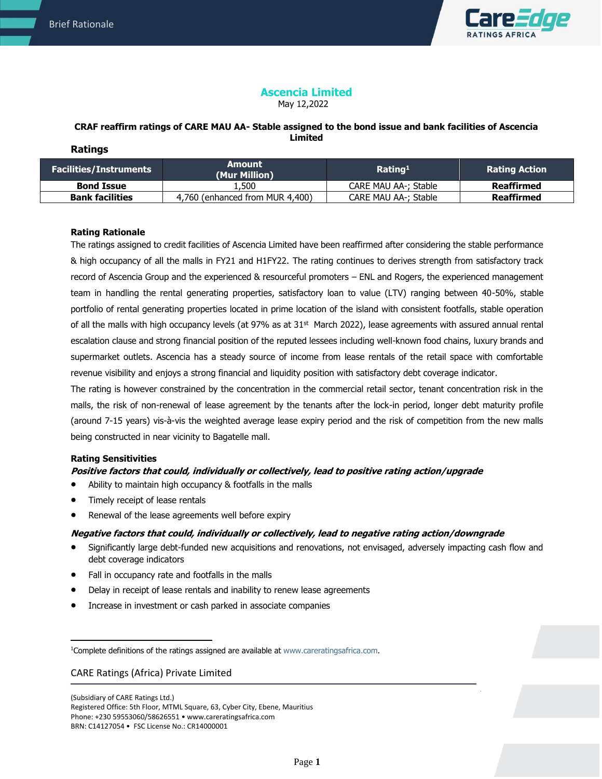

# **Ascencia Limited**

May 12,2022

### **CRAF reaffirm ratings of CARE MAU AA- Stable assigned to the bond issue and bank facilities of Ascencia Limited Ratings**

| <b>Facilities/Instruments</b> | Amount<br>(Mur Million)         | Rating <sup>1</sup>  | <b>Rating Action</b> |
|-------------------------------|---------------------------------|----------------------|----------------------|
| <b>Bond Issue</b>             | .500.                           | CARE MAU AA-: Stable | Reaffirmed           |
| <b>Bank facilities</b>        | 4,760 (enhanced from MUR 4,400) | CARE MAU AA-; Stable | Reaffirmed           |

# **Rating Rationale**

The ratings assigned to credit facilities of Ascencia Limited have been reaffirmed after considering the stable performance & high occupancy of all the malls in FY21 and H1FY22. The rating continues to derives strength from satisfactory track record of Ascencia Group and the experienced & resourceful promoters – ENL and Rogers, the experienced management team in handling the rental generating properties, satisfactory loan to value (LTV) ranging between 40-50%, stable portfolio of rental generating properties located in prime location of the island with consistent footfalls, stable operation of all the malls with high occupancy levels (at 97% as at 31<sup>st</sup> March 2022), lease agreements with assured annual rental escalation clause and strong financial position of the reputed lessees including well-known food chains, luxury brands and supermarket outlets. Ascencia has a steady source of income from lease rentals of the retail space with comfortable revenue visibility and enjoys a strong financial and liquidity position with satisfactory debt coverage indicator.

The rating is however constrained by the concentration in the commercial retail sector, tenant concentration risk in the malls, the risk of non-renewal of lease agreement by the tenants after the lock-in period, longer debt maturity profile (around 7-15 years) vis-à-vis the weighted average lease expiry period and the risk of competition from the new malls being constructed in near vicinity to Bagatelle mall.

#### **Rating Sensitivities**

# **Positive factors that could, individually or collectively, lead to positive rating action/upgrade**

- Ability to maintain high occupancy & footfalls in the malls
- Timely receipt of lease rentals
- Renewal of the lease agreements well before expiry

# **Negative factors that could, individually or collectively, lead to negative rating action/downgrade**

- Significantly large debt-funded new acquisitions and renovations, not envisaged, adversely impacting cash flow and debt coverage indicators
- Fall in occupancy rate and footfalls in the malls
- Delay in receipt of lease rentals and inability to renew lease agreements
- Increase in investment or cash parked in associate companies

### CARE Ratings (Africa) Private Limited

(Subsidiary of CARE Ratings Ltd.) Registered Office: 5th Floor, MTML Square, 63, Cyber City, Ebene, Mauritius Phone: +230 59553060/58626551 • www.careratingsafrica.com BRN: C14127054 • FSC License No.: CR14000001

<sup>1</sup>Complete definitions of the ratings assigned are available at www.careratingsafrica.com.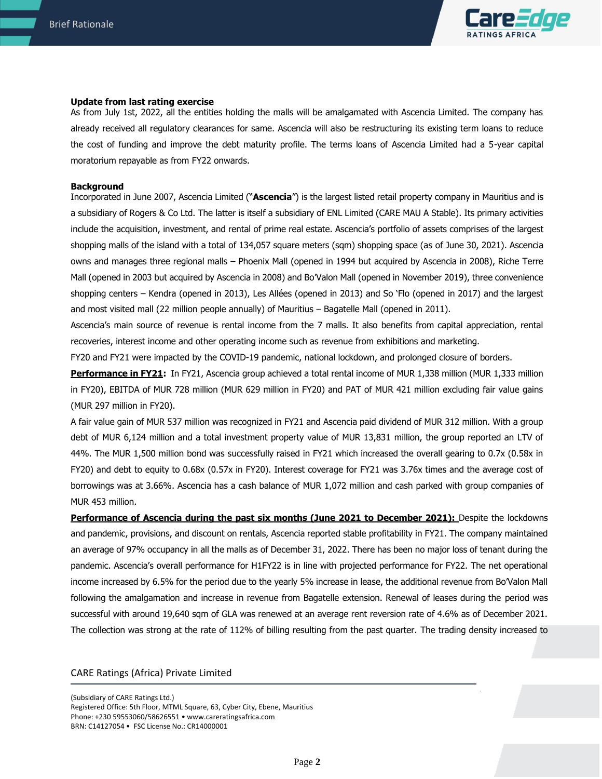

#### **Update from last rating exercise**

As from July 1st, 2022, all the entities holding the malls will be amalgamated with Ascencia Limited. The company has already received all regulatory clearances for same. Ascencia will also be restructuring its existing term loans to reduce the cost of funding and improve the debt maturity profile. The terms loans of Ascencia Limited had a 5-year capital moratorium repayable as from FY22 onwards.

#### **Background**

Incorporated in June 2007, Ascencia Limited ("**Ascencia**") is the largest listed retail property company in Mauritius and is a subsidiary of Rogers & Co Ltd. The latter is itself a subsidiary of ENL Limited (CARE MAU A Stable). Its primary activities include the acquisition, investment, and rental of prime real estate. Ascencia's portfolio of assets comprises of the largest shopping malls of the island with a total of 134,057 square meters (sqm) shopping space (as of June 30, 2021). Ascencia owns and manages three regional malls – Phoenix Mall (opened in 1994 but acquired by Ascencia in 2008), Riche Terre Mall (opened in 2003 but acquired by Ascencia in 2008) and Bo'Valon Mall (opened in November 2019), three convenience shopping centers – Kendra (opened in 2013), Les Allées (opened in 2013) and So 'Flo (opened in 2017) and the largest and most visited mall (22 million people annually) of Mauritius – Bagatelle Mall (opened in 2011).

Ascencia's main source of revenue is rental income from the 7 malls. It also benefits from capital appreciation, rental recoveries, interest income and other operating income such as revenue from exhibitions and marketing.

FY20 and FY21 were impacted by the COVID-19 pandemic, national lockdown, and prolonged closure of borders.

**Performance in FY21:** In FY21, Ascencia group achieved a total rental income of MUR 1,338 million (MUR 1,333 million in FY20), EBITDA of MUR 728 million (MUR 629 million in FY20) and PAT of MUR 421 million excluding fair value gains (MUR 297 million in FY20).

A fair value gain of MUR 537 million was recognized in FY21 and Ascencia paid dividend of MUR 312 million. With a group debt of MUR 6,124 million and a total investment property value of MUR 13,831 million, the group reported an LTV of 44%. The MUR 1,500 million bond was successfully raised in FY21 which increased the overall gearing to 0.7x (0.58x in FY20) and debt to equity to 0.68x (0.57x in FY20). Interest coverage for FY21 was 3.76x times and the average cost of borrowings was at 3.66%. Ascencia has a cash balance of MUR 1,072 million and cash parked with group companies of MUR 453 million.

**Performance of Ascencia during the past six months (June 2021 to December 2021):** Despite the lockdowns and pandemic, provisions, and discount on rentals, Ascencia reported stable profitability in FY21. The company maintained an average of 97% occupancy in all the malls as of December 31, 2022. There has been no major loss of tenant during the pandemic. Ascencia's overall performance for H1FY22 is in line with projected performance for FY22. The net operational income increased by 6.5% for the period due to the yearly 5% increase in lease, the additional revenue from Bo'Valon Mall following the amalgamation and increase in revenue from Bagatelle extension. Renewal of leases during the period was successful with around 19,640 sqm of GLA was renewed at an average rent reversion rate of 4.6% as of December 2021. The collection was strong at the rate of 112% of billing resulting from the past quarter. The trading density increased to

### CARE Ratings (Africa) Private Limited

(Subsidiary of CARE Ratings Ltd.) Registered Office: 5th Floor, MTML Square, 63, Cyber City, Ebene, Mauritius Phone: +230 59553060/58626551 • www.careratingsafrica.com BRN: C14127054 • FSC License No.: CR14000001